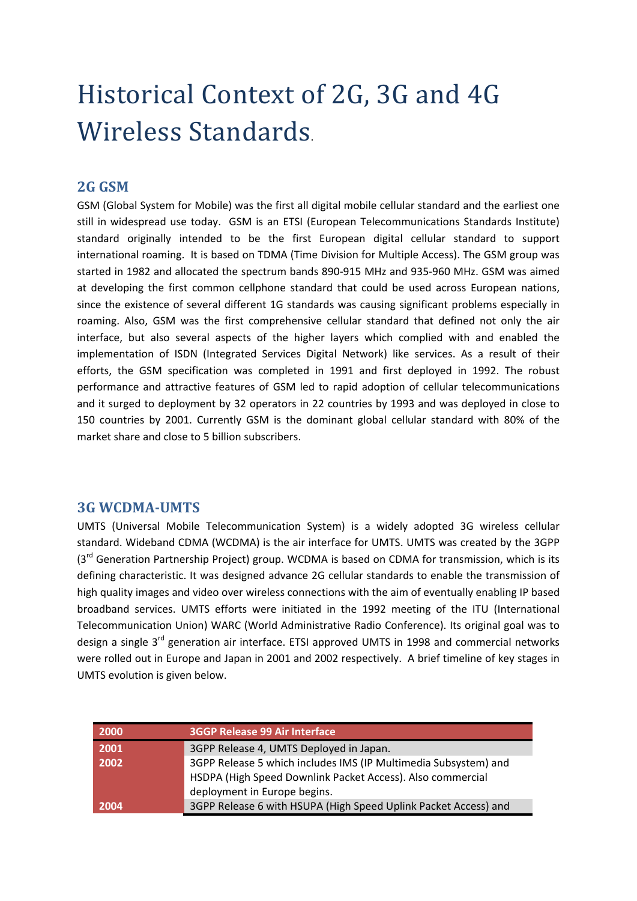## Historical Context of 2G, 3G and 4G Wireless Standards.

## **2G GSM**

GSM (Global System for Mobile) was the first all digital mobile cellular standard and the earliest one still in widespread use today. GSM is an ETSI (European Telecommunications Standards Institute) standard originally intended to be the first European digital cellular standard to support international roaming. It is based on TDMA (Time Division for Multiple Access). The GSM group was started in 1982 and allocated the spectrum bands 890‐915 MHz and 935‐960 MHz. GSM was aimed at developing the first common cellphone standard that could be used across European nations, since the existence of several different 1G standards was causing significant problems especially in roaming. Also, GSM was the first comprehensive cellular standard that defined not only the air interface, but also several aspects of the higher layers which complied with and enabled the implementation of ISDN (Integrated Services Digital Network) like services. As a result of their efforts, the GSM specification was completed in 1991 and first deployed in 1992. The robust performance and attractive features of GSM led to rapid adoption of cellular telecommunications and it surged to deployment by 32 operators in 22 countries by 1993 and was deployed in close to 150 countries by 2001. Currently GSM is the dominant global cellular standard with 80% of the market share and close to 5 billion subscribers.

## **3G WCDMA‐UMTS**

UMTS (Universal Mobile Telecommunication System) is a widely adopted 3G wireless cellular standard. Wideband CDMA (WCDMA) is the air interface for UMTS. UMTS was created by the 3GPP (3<sup>rd</sup> Generation Partnership Project) group. WCDMA is based on CDMA for transmission, which is its defining characteristic. It was designed advance 2G cellular standards to enable the transmission of high quality images and video over wireless connections with the aim of eventually enabling IP based broadband services. UMTS efforts were initiated in the 1992 meeting of the ITU (International Telecommunication Union) WARC (World Administrative Radio Conference). Its original goal was to design a single 3<sup>rd</sup> generation air interface. ETSI approved UMTS in 1998 and commercial networks were rolled out in Europe and Japan in 2001 and 2002 respectively. A brief timeline of key stages in UMTS evolution is given below.

| 2000 | <b>3GGP Release 99 Air Interface</b>                            |
|------|-----------------------------------------------------------------|
| 2001 | 3GPP Release 4, UMTS Deployed in Japan.                         |
| 2002 | 3GPP Release 5 which includes IMS (IP Multimedia Subsystem) and |
|      | HSDPA (High Speed Downlink Packet Access). Also commercial      |
|      | deployment in Europe begins.                                    |
| 2004 | 3GPP Release 6 with HSUPA (High Speed Uplink Packet Access) and |